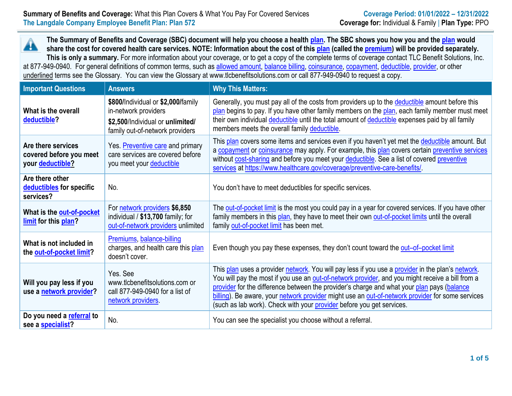**The Summary of Benefits and Coverage (SBC) document will help you choose a health [plan.](https://www.healthcare.gov/sbc-glossary/#plan) The SBC shows you how you and the [plan](https://www.healthcare.gov/sbc-glossary/#plan) would** Â **share the cost for covered health care services. NOTE: Information about the cost of this [plan](https://www.healthcare.gov/sbc-glossary/#plan) (called the [premium\)](https://www.healthcare.gov/sbc-glossary/#premium) will be provided separately. This is only a summary.** For more information about your coverage, or to get a copy of the complete terms of coverage contact TLC Benefit Solutions, Inc. at 877-949-0940. For general definitions of common terms, such as [allowed amount,](https://www.healthcare.gov/sbc-glossary/#allowed-amount) [balance billing,](https://www.healthcare.gov/sbc-glossary/#balance-billing) [coinsurance,](https://www.healthcare.gov/sbc-glossary/#coinsurance) [copayment,](https://www.healthcare.gov/sbc-glossary/#copayment) [deductible,](https://www.healthcare.gov/sbc-glossary/#deductible) [provider,](https://www.healthcare.gov/sbc-glossary/#provider) or other underlined terms see the Glossary. You can view the Glossary at www.tlcbenefitsolutions.com or call 877-949-0940 to request a copy.

| <b>Important Questions</b>                                               | <b>Answers</b>                                                                                                                    | <b>Why This Matters:</b>                                                                                                                                                                                                                                                                                                                                                                                                                                                         |
|--------------------------------------------------------------------------|-----------------------------------------------------------------------------------------------------------------------------------|----------------------------------------------------------------------------------------------------------------------------------------------------------------------------------------------------------------------------------------------------------------------------------------------------------------------------------------------------------------------------------------------------------------------------------------------------------------------------------|
| What is the overall<br>deductible?                                       | \$800/Individual or \$2,000/family<br>in-network providers<br>\$2,500/Individual or unlimited/<br>family out-of-network providers | Generally, you must pay all of the costs from providers up to the deductible amount before this<br>plan begins to pay. If you have other family members on the plan, each family member must meet<br>their own individual deductible until the total amount of deductible expenses paid by all family<br>members meets the overall family deductible.                                                                                                                            |
| Are there services<br>covered before you meet<br>your <b>deductible?</b> | Yes. Preventive care and primary<br>care services are covered before<br>you meet your deductible                                  | This plan covers some items and services even if you haven't yet met the deductible amount. But<br>a copayment or coinsurance may apply. For example, this plan covers certain preventive services<br>without cost-sharing and before you meet your deductible. See a list of covered preventive<br>services at https://www.healthcare.gov/coverage/preventive-care-benefits/                                                                                                    |
| Are there other<br>deductibles for specific<br>services?                 | No.                                                                                                                               | You don't have to meet deductibles for specific services.                                                                                                                                                                                                                                                                                                                                                                                                                        |
| What is the out-of-pocket<br>limit for this plan?                        | For network providers \$6,850<br>individual $/$ \$13,700 family; for<br>out-of-network providers unlimited                        | The out-of-pocket limit is the most you could pay in a year for covered services. If you have other<br>family members in this plan, they have to meet their own out-of-pocket limits until the overall<br>family out-of-pocket limit has been met.                                                                                                                                                                                                                               |
| What is not included in<br>the out-of-pocket limit?                      | Premiums, balance-billing<br>charges, and health care this plan<br>doesn't cover.                                                 | Even though you pay these expenses, they don't count toward the out-of-pocket limit                                                                                                                                                                                                                                                                                                                                                                                              |
| Will you pay less if you<br>use a network provider?                      | Yes. See<br>www.tlcbenefitsolutions.com or<br>call 877-949-0940 for a list of<br>network providers.                               | This plan uses a provider network. You will pay less if you use a provider in the plan's network.<br>You will pay the most if you use an out-of-network provider, and you might receive a bill from a<br>provider for the difference between the provider's charge and what your plan pays (balance<br>billing). Be aware, your network provider might use an out-of-network provider for some services<br>(such as lab work). Check with your provider before you get services. |
| Do you need a referral to<br>see a specialist?                           | No.                                                                                                                               | You can see the specialist you choose without a referral.                                                                                                                                                                                                                                                                                                                                                                                                                        |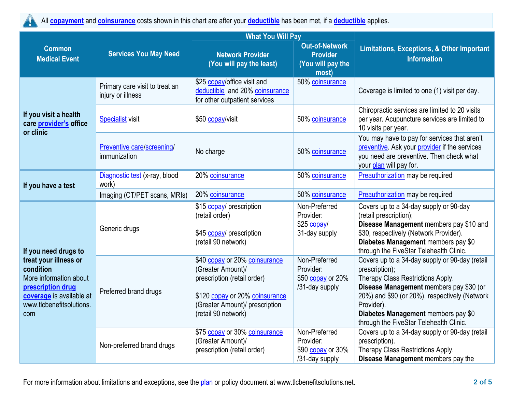All **[copayment](https://www.healthcare.gov/sbc-glossary/#copayment)** and **[coinsurance](https://www.healthcare.gov/sbc-glossary/#coinsurance)** costs shown in this chart are after your **[deductible](https://www.healthcare.gov/sbc-glossary/#deductible)** has been met, if a **[deductible](https://www.healthcare.gov/sbc-glossary/#deductible)** applies.

|                                                                                                                                                  |                                                     | <b>What You Will Pay</b>                                                                                                                                                     |                                                                        |                                                                                                                                                                                                                                                                                                   |  |
|--------------------------------------------------------------------------------------------------------------------------------------------------|-----------------------------------------------------|------------------------------------------------------------------------------------------------------------------------------------------------------------------------------|------------------------------------------------------------------------|---------------------------------------------------------------------------------------------------------------------------------------------------------------------------------------------------------------------------------------------------------------------------------------------------|--|
| <b>Common</b><br><b>Medical Event</b>                                                                                                            | <b>Services You May Need</b>                        | <b>Network Provider</b><br>(You will pay the least)                                                                                                                          | <b>Out-of-Network</b><br><b>Provider</b><br>(You will pay the<br>most) | <b>Limitations, Exceptions, &amp; Other Important</b><br><b>Information</b>                                                                                                                                                                                                                       |  |
|                                                                                                                                                  | Primary care visit to treat an<br>injury or illness | \$25 copay/office visit and<br>deductible and 20% coinsurance<br>for other outpatient services                                                                               | 50% coinsurance                                                        | Coverage is limited to one (1) visit per day.                                                                                                                                                                                                                                                     |  |
| If you visit a health<br>care provider's office<br>or clinic                                                                                     | <b>Specialist visit</b>                             | \$50 copay/visit                                                                                                                                                             | 50% coinsurance                                                        | Chiropractic services are limited to 20 visits<br>per year. Acupuncture services are limited to<br>10 visits per year.                                                                                                                                                                            |  |
|                                                                                                                                                  | Preventive care/screening/<br>immunization          | No charge                                                                                                                                                                    | 50% coinsurance                                                        | You may have to pay for services that aren't<br>preventive. Ask your provider if the services<br>you need are preventive. Then check what<br>your plan will pay for.                                                                                                                              |  |
| If you have a test                                                                                                                               | Diagnostic test (x-ray, blood<br>work)              | 20% coinsurance                                                                                                                                                              | 50% coinsurance                                                        | Preauthorization may be required                                                                                                                                                                                                                                                                  |  |
|                                                                                                                                                  | Imaging (CT/PET scans, MRIs)                        | 20% coinsurance                                                                                                                                                              | 50% coinsurance                                                        | <b>Preauthorization</b> may be required                                                                                                                                                                                                                                                           |  |
| If you need drugs to                                                                                                                             | Generic drugs                                       | \$15 copay/ prescription<br>(retail order)<br>\$45 copay/ prescription<br>(retail 90 network)                                                                                | Non-Preferred<br>Provider:<br>$$25$ copay/<br>31-day supply            | Covers up to a 34-day supply or 90-day<br>(retail prescription);<br>Disease Management members pay \$10 and<br>\$30, respectively (Network Provider).<br>Diabetes Management members pay \$0<br>through the FiveStar Telehealth Clinic.                                                           |  |
| treat your illness or<br>condition<br>More information about<br>prescription drug<br>coverage is available at<br>www.tlcbenefitsolutions.<br>com | Preferred brand drugs                               | \$40 copay or 20% coinsurance<br>(Greater Amount)/<br>prescription (retail order)<br>\$120 copay or 20% coinsurance<br>(Greater Amount)/ prescription<br>(retail 90 network) | Non-Preferred<br>Provider:<br>\$50 copay or 20%<br>/31-day supply      | Covers up to a 34-day supply or 90-day (retail<br>prescription);<br>Therapy Class Restrictions Apply.<br>Disease Management members pay \$30 (or<br>20%) and \$90 (or 20%), respectively (Network<br>Provider).<br>Diabetes Management members pay \$0<br>through the FiveStar Telehealth Clinic. |  |
|                                                                                                                                                  | Non-preferred brand drugs                           | \$75 copay or 30% coinsurance<br>(Greater Amount)/<br>prescription (retail order)                                                                                            | Non-Preferred<br>Provider:<br>\$90 copay or 30%<br>/31-day supply      | Covers up to a 34-day supply or 90-day (retail<br>prescription).<br>Therapy Class Restrictions Apply.<br>Disease Management members pay the                                                                                                                                                       |  |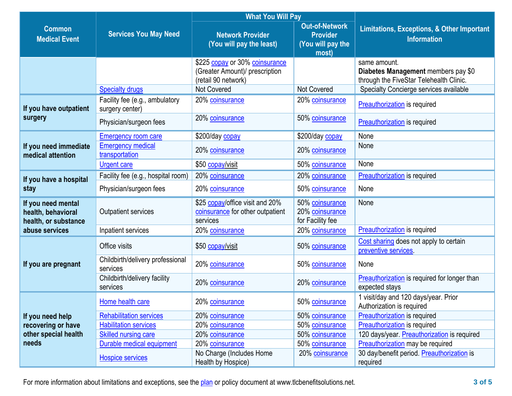|                                                                  |                                                   | <b>What You Will Pay</b>                                                                |                                                                        |                                                                                                |  |
|------------------------------------------------------------------|---------------------------------------------------|-----------------------------------------------------------------------------------------|------------------------------------------------------------------------|------------------------------------------------------------------------------------------------|--|
| <b>Common</b><br><b>Medical Event</b>                            | <b>Services You May Need</b>                      | <b>Network Provider</b><br>(You will pay the least)                                     | <b>Out-of-Network</b><br><b>Provider</b><br>(You will pay the<br>most) | Limitations, Exceptions, & Other Important<br><b>Information</b>                               |  |
|                                                                  |                                                   | \$225 copay or 30% coinsurance<br>(Greater Amount)/ prescription<br>(retail 90 network) |                                                                        | same amount.<br>Diabetes Management members pay \$0<br>through the FiveStar Telehealth Clinic. |  |
|                                                                  | <b>Specialty drugs</b>                            | <b>Not Covered</b>                                                                      | Not Covered                                                            | Specialty Concierge services available                                                         |  |
| If you have outpatient                                           | Facility fee (e.g., ambulatory<br>surgery center) | 20% coinsurance                                                                         | 20% coinsurance                                                        | <b>Preauthorization</b> is required                                                            |  |
| surgery                                                          | Physician/surgeon fees                            | 20% coinsurance                                                                         | 50% coinsurance                                                        | <b>Preauthorization</b> is required                                                            |  |
|                                                                  | <b>Emergency room care</b>                        | \$200/day copay                                                                         | \$200/day copay                                                        | None                                                                                           |  |
| If you need immediate<br>medical attention                       | <b>Emergency medical</b><br>transportation        | 20% coinsurance                                                                         | 20% coinsurance                                                        | None                                                                                           |  |
|                                                                  | <b>Urgent care</b>                                | \$50 copay/visit                                                                        | 50% coinsurance                                                        | None                                                                                           |  |
| If you have a hospital                                           | Facility fee (e.g., hospital room)                | 20% coinsurance                                                                         | 20% coinsurance                                                        | <b>Preauthorization</b> is required                                                            |  |
| stay                                                             | Physician/surgeon fees                            | 20% coinsurance                                                                         | 50% coinsurance                                                        | None                                                                                           |  |
| If you need mental<br>health, behavioral<br>health, or substance | <b>Outpatient services</b>                        | \$25 copay/office visit and 20%<br>coinsurance for other outpatient<br>services         | 50% coinsurance<br>20% coinsurance<br>for Facility fee                 | None                                                                                           |  |
| abuse services                                                   | Inpatient services                                | 20% coinsurance                                                                         | 20% coinsurance                                                        | <b>Preauthorization</b> is required                                                            |  |
|                                                                  | Office visits                                     | \$50 copay/visit                                                                        | 50% coinsurance                                                        | Cost sharing does not apply to certain<br>preventive services.                                 |  |
| If you are pregnant                                              | Childbirth/delivery professional<br>services      | 20% coinsurance                                                                         | 50% coinsurance                                                        | None                                                                                           |  |
|                                                                  | Childbirth/delivery facility<br>services          | 20% coinsurance                                                                         | 20% coinsurance                                                        | <b>Preauthorization</b> is required for longer than<br>expected stays                          |  |
|                                                                  | Home health care                                  | 20% coinsurance                                                                         | 50% coinsurance                                                        | 1 visit/day and 120 days/year. Prior<br>Authorization is required                              |  |
| If you need help                                                 | <b>Rehabilitation services</b>                    | 20% coinsurance                                                                         | 50% coinsurance                                                        | Preauthorization is required                                                                   |  |
| recovering or have                                               | <b>Habilitation services</b>                      | 20% coinsurance                                                                         | 50% coinsurance                                                        | Preauthorization is required                                                                   |  |
| other special health                                             | <b>Skilled nursing care</b>                       | 20% coinsurance                                                                         | 50% coinsurance                                                        | 120 days/year. Preauthorization is required                                                    |  |
| needs                                                            | Durable medical equipment                         | 20% coinsurance                                                                         | 50% coinsurance                                                        | Preauthorization may be required                                                               |  |
|                                                                  | <b>Hospice services</b>                           | No Charge (Includes Home<br>Health by Hospice)                                          | 20% coinsurance                                                        | 30 day/benefit period. Preauthorization is<br>required                                         |  |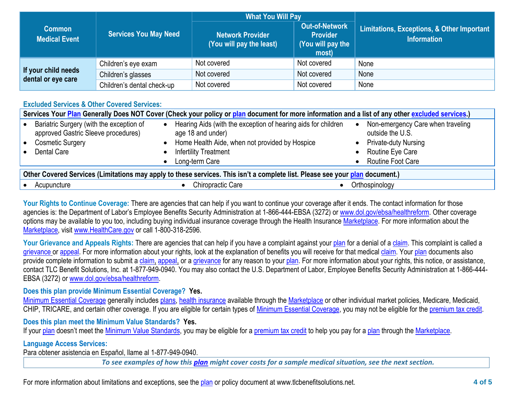|                                           |                              | <b>What You Will Pay</b>                            |                                                                        |                                                                  |  |
|-------------------------------------------|------------------------------|-----------------------------------------------------|------------------------------------------------------------------------|------------------------------------------------------------------|--|
| <b>Common</b><br><b>Medical Event</b>     | <b>Services You May Need</b> | <b>Network Provider</b><br>(You will pay the least) | <b>Out-of-Network</b><br><b>Provider</b><br>(You will pay the<br>most) | Limitations, Exceptions, & Other Important<br><b>Information</b> |  |
|                                           | Children's eye exam          | Not covered                                         | Not covered                                                            | None                                                             |  |
| If your child needs<br>dental or eye care | Children's glasses           | Not covered                                         | Not covered                                                            | None                                                             |  |
|                                           | Children's dental check-up   | Not covered                                         | Not covered                                                            | None                                                             |  |

### **Excluded Services & Other Covered Services:**

| Services Your Plan Generally Does NOT Cover (Check your policy or plan document for more information and a list of any other excluded services.) |                                                                                 |  |                                                                                    |           |                                                       |  |  |
|--------------------------------------------------------------------------------------------------------------------------------------------------|---------------------------------------------------------------------------------|--|------------------------------------------------------------------------------------|-----------|-------------------------------------------------------|--|--|
|                                                                                                                                                  | Bariatric Surgery (with the exception of<br>approved Gastric Sleeve procedures) |  | Hearing Aids (with the exception of hearing aids for children<br>age 18 and under) | $\bullet$ | Non-emergency Care when traveling<br>outside the U.S. |  |  |
|                                                                                                                                                  | <b>Cosmetic Surgery</b>                                                         |  | Home Health Aide, when not provided by Hospice                                     |           | <b>Private-duty Nursing</b>                           |  |  |
|                                                                                                                                                  | Dental Care                                                                     |  | <b>Infertility Treatment</b>                                                       |           | Routine Eye Care                                      |  |  |
|                                                                                                                                                  |                                                                                 |  | Long-term Care                                                                     |           | <b>Routine Foot Care</b>                              |  |  |
| Other Covered Services (Limitations may apply to these services. This isn't a complete list. Please see your plan document.)                     |                                                                                 |  |                                                                                    |           |                                                       |  |  |
|                                                                                                                                                  |                                                                                 |  |                                                                                    |           |                                                       |  |  |

Acupuncture • Chiropractic Care • Chiropractic Care • Orthospinology

Your Rights to Continue Coverage: There are agencies that can help if you want to continue your coverage after it ends. The contact information for those agencies is: the Department of Labor's Employee Benefits Security Administration at 1-866-444-EBSA (3272) or www.dol.gov/ebsa/healthreform. Other coverage options may be available to you too, including buying individual insurance coverage through the Health Insurance Marketplace. For more information about the Marketplace, visit www.HealthCare.gov or call 1-800-318-2596.

Your Grievance and Appeals Rights: There are agencies that can help if you have a complaint against your plan for a denial of a claim. This complaint is called a grievance or appeal. For more information about your rights, look at the explanation of benefits you will receive for that medical claim. Your plan documents also provide complete information to submit a claim, appeal, or a grievance for any reason to your plan. For more information about your rights, this notice, or assistance, contact TLC Benefit Solutions, Inc. at 1-877-949-0940. You may also contact the U.S. Department of Labor, Employee Benefits Security Administration at 1-866-444- EBSA (3272) or www.dol.gov/ebsa/healthreform.

## **Does this plan provide Minimum Essential Coverage? Yes.**

Minimum Essential Coverage generally includes plans, health insurance available through the Marketplace or other individual market policies, Medicare, Medicaid, CHIP, TRICARE, and certain other coverage. If you are eligible for certain types of Minimum Essential Coverage, you may not be eligible for the premium tax credit.

## **Does this plan meet the Minimum Value Standards? Yes.**

If your plan doesn't meet the Minimum Value Standards, you may be eligible for a premium tax credit to help you pay for a plan through the Marketplace.

## **Language Access Services:**

Para obtener asistencia en Español, llame al 1-877-949-0940.

*To see examples of how this plan might cover costs for a sample medical situation, see the next section.*